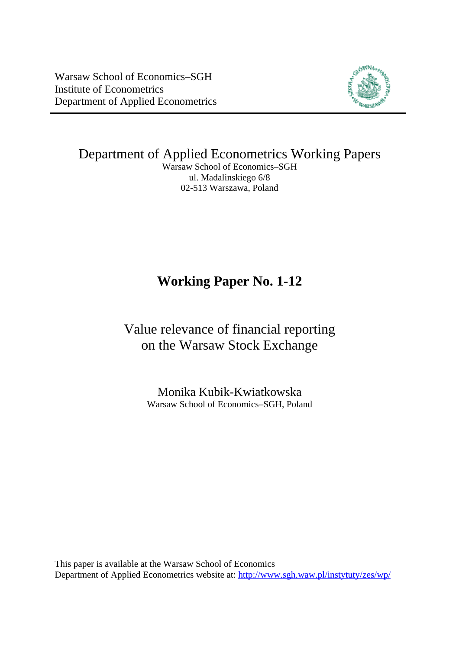Warsaw School of Economics–SGH Institute of Econometrics Department of Applied Econometrics



Department of Applied Econometrics Working Papers Warsaw School of Economics–SGH

ul. Madalinskiego 6/8 02-513 Warszawa, Poland

# **Working Paper No. 1-12**

# Value relevance of financial reporting on the Warsaw Stock Exchange

Monika Kubik-Kwiatkowska Warsaw School of Economics–SGH, Poland

This paper is available at the Warsaw School of Economics Department of Applied Econometrics website at: <http://www.sgh.waw.pl/instytuty/zes/wp/>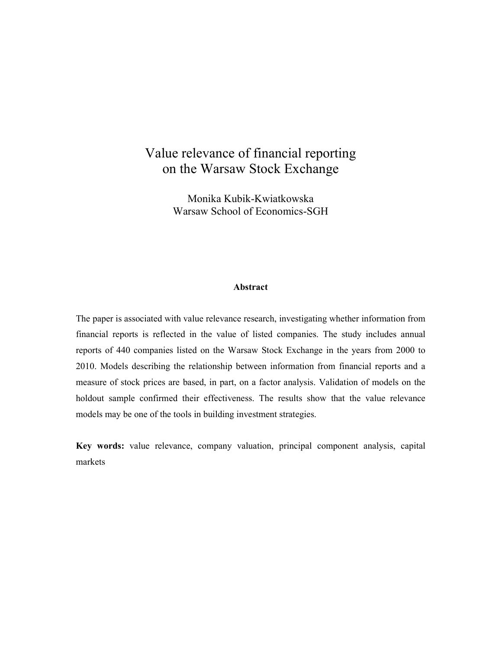# Value relevance of financial reporting on the Warsaw Stock Exchange

Monika Kubik-Kwiatkowska Warsaw School of Economics-SGH

## **Abstract**

The paper is associated with value relevance research, investigating whether information from financial reports is reflected in the value of listed companies. The study includes annual reports of 440 companies listed on the Warsaw Stock Exchange in the years from 2000 to 2010. Models describing the relationship between information from financial reports and a measure of stock prices are based, in part, on a factor analysis. Validation of models on the holdout sample confirmed their effectiveness. The results show that the value relevance models may be one of the tools in building investment strategies.

**Key words:** value relevance, company valuation, principal component analysis, capital markets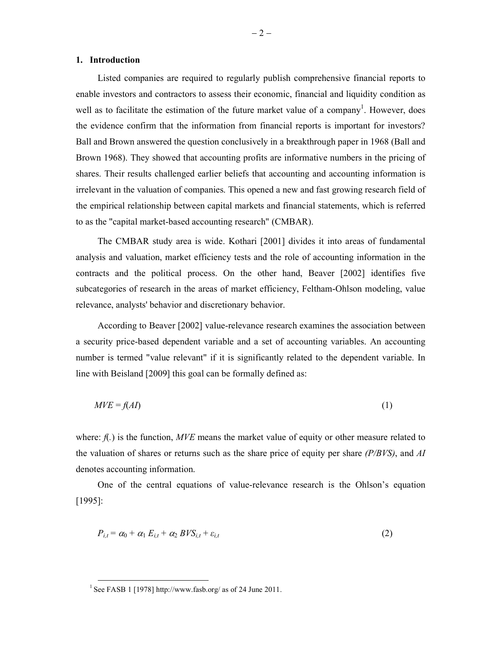### **1. Introduction**

Listed companies are required to regularly publish comprehensive financial reports to enable investors and contractors to assess their economic, financial and liquidity condition as well as to facilitate the estimation of the future market value of a company<sup>1</sup>. However, does the evidence confirm that the information from financial reports is important for investors? Ball and Brown answered the question conclusively in a breakthrough paper in 1968 (Ball and Brown 1968). They showed that accounting profits are informative numbers in the pricing of shares. Their results challenged earlier beliefs that accounting and accounting information is irrelevant in the valuation of companies. This opened a new and fast growing research field of the empirical relationship between capital markets and financial statements, which is referred to as the "capital market-based accounting research" (CMBAR).

The CMBAR study area is wide. Kothari [2001] divides it into areas of fundamental analysis and valuation, market efficiency tests and the role of accounting information in the contracts and the political process. On the other hand, Beaver [2002] identifies five subcategories of research in the areas of market efficiency, Feltham-Ohlson modeling, value relevance, analysts' behavior and discretionary behavior.

According to Beaver [2002] value-relevance research examines the association between a security price-based dependent variable and a set of accounting variables. An accounting number is termed "value relevant" if it is significantly related to the dependent variable. In line with Beisland [2009] this goal can be formally defined as:

$$
MVE = f(AI) \tag{1}
$$

where: *f*(.) is the function, *MVE* means the market value of equity or other measure related to the valuation of shares or returns such as the share price of equity per share *(P/BVS)*, and *AI* denotes accounting information.

One of the central equations of value-relevance research is the Ohlson's equation [1995]:

$$
P_{i,t} = \alpha_0 + \alpha_1 E_{i,t} + \alpha_2 BV S_{i,t} + \varepsilon_{i,t}
$$
\n<sup>(2)</sup>

-

<sup>&</sup>lt;sup>1</sup> See FASB 1 [1978] http://www.fasb.org/ as of 24 June 2011.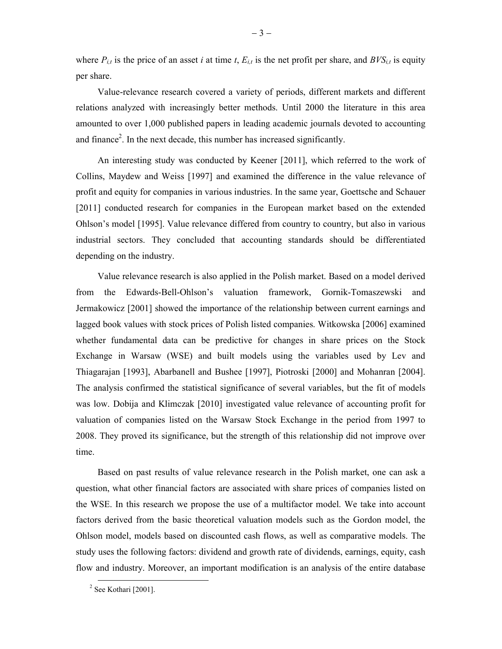where  $P_{i,t}$  is the price of an asset *i* at time *t*,  $E_{i,t}$  is the net profit per share, and  $BVS_{i,t}$  is equity per share.

Value-relevance research covered a variety of periods, different markets and different relations analyzed with increasingly better methods. Until 2000 the literature in this area amounted to over 1,000 published papers in leading academic journals devoted to accounting and finance<sup>2</sup>. In the next decade, this number has increased significantly.

An interesting study was conducted by Keener [2011], which referred to the work of Collins, Maydew and Weiss [1997] and examined the difference in the value relevance of profit and equity for companies in various industries. In the same year, Goettsche and Schauer [2011] conducted research for companies in the European market based on the extended Ohlson's model [1995]. Value relevance differed from country to country, but also in various industrial sectors. They concluded that accounting standards should be differentiated depending on the industry.

Value relevance research is also applied in the Polish market. Based on a model derived from the Edwards-Bell-Ohlson's valuation framework, Gornik-Tomaszewski and Jermakowicz [2001] showed the importance of the relationship between current earnings and lagged book values with stock prices of Polish listed companies. Witkowska [2006] examined whether fundamental data can be predictive for changes in share prices on the Stock Exchange in Warsaw (WSE) and built models using the variables used by Lev and Thiagarajan [1993], Abarbanell and Bushee [1997], Piotroski [2000] and Mohanran [2004]. The analysis confirmed the statistical significance of several variables, but the fit of models was low. Dobija and Klimczak [2010] investigated value relevance of accounting profit for valuation of companies listed on the Warsaw Stock Exchange in the period from 1997 to 2008. They proved its significance, but the strength of this relationship did not improve over time.

Based on past results of value relevance research in the Polish market, one can ask a question, what other financial factors are associated with share prices of companies listed on the WSE. In this research we propose the use of a multifactor model. We take into account factors derived from the basic theoretical valuation models such as the Gordon model, the Ohlson model, models based on discounted cash flows, as well as comparative models. The study uses the following factors: dividend and growth rate of dividends, earnings, equity, cash flow and industry. Moreover, an important modification is an analysis of the entire database

<sup>&</sup>lt;sup>2</sup> See Kothari [2001].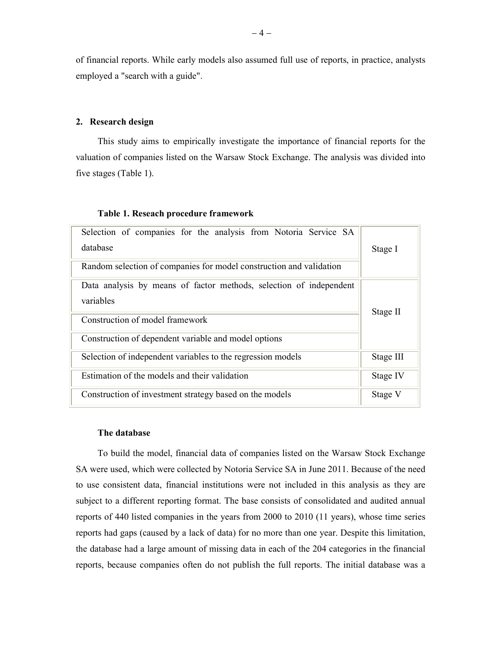of financial reports. While early models also assumed full use of reports, in practice, analysts employed a "search with a guide".

# **2. Research design**

This study aims to empirically investigate the importance of financial reports for the valuation of companies listed on the Warsaw Stock Exchange. The analysis was divided into five stages (Table 1).

| Selection of companies for the analysis from Notoria Service SA<br>database                                        | Stage I   |
|--------------------------------------------------------------------------------------------------------------------|-----------|
| Random selection of companies for model construction and validation                                                |           |
| Data analysis by means of factor methods, selection of independent<br>variables<br>Construction of model framework | Stage II  |
| Construction of dependent variable and model options                                                               |           |
| Selection of independent variables to the regression models                                                        | Stage III |
| Estimation of the models and their validation                                                                      | Stage IV  |
| Construction of investment strategy based on the models                                                            | Stage V   |

# **Table 1. Reseach procedure framework**

# **The database**

To build the model, financial data of companies listed on the Warsaw Stock Exchange SA were used, which were collected by Notoria Service SA in June 2011. Because of the need to use consistent data, financial institutions were not included in this analysis as they are subject to a different reporting format. The base consists of consolidated and audited annual reports of 440 listed companies in the years from 2000 to 2010 (11 years), whose time series reports had gaps (caused by a lack of data) for no more than one year. Despite this limitation, the database had a large amount of missing data in each of the 204 categories in the financial reports, because companies often do not publish the full reports. The initial database was a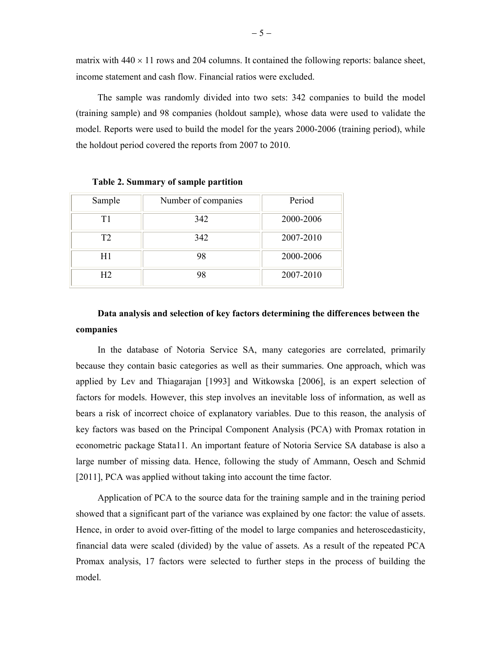matrix with  $440 \times 11$  rows and 204 columns. It contained the following reports: balance sheet, income statement and cash flow. Financial ratios were excluded.

The sample was randomly divided into two sets: 342 companies to build the model (training sample) and 98 companies (holdout sample), whose data were used to validate the model. Reports were used to build the model for the years 2000-2006 (training period), while the holdout period covered the reports from 2007 to 2010.

| Sample         | Number of companies | Period    |  |  |  |  |
|----------------|---------------------|-----------|--|--|--|--|
| Τ1             | 342                 | 2000-2006 |  |  |  |  |
| T <sub>2</sub> | 342                 | 2007-2010 |  |  |  |  |
| H1             | 98                  | 2000-2006 |  |  |  |  |
| H <sub>2</sub> | 98                  | 2007-2010 |  |  |  |  |

**Table 2. Summary of sample partition** 

# **Data analysis and selection of key factors determining the differences between the companies**

In the database of Notoria Service SA, many categories are correlated, primarily because they contain basic categories as well as their summaries. One approach, which was applied by Lev and Thiagarajan [1993] and Witkowska [2006], is an expert selection of factors for models. However, this step involves an inevitable loss of information, as well as bears a risk of incorrect choice of explanatory variables. Due to this reason, the analysis of key factors was based on the Principal Component Analysis (PCA) with Promax rotation in econometric package Stata11. An important feature of Notoria Service SA database is also a large number of missing data. Hence, following the study of Ammann, Oesch and Schmid [2011], PCA was applied without taking into account the time factor.

Application of PCA to the source data for the training sample and in the training period showed that a significant part of the variance was explained by one factor: the value of assets. Hence, in order to avoid over-fitting of the model to large companies and heteroscedasticity, financial data were scaled (divided) by the value of assets. As a result of the repeated PCA Promax analysis, 17 factors were selected to further steps in the process of building the model.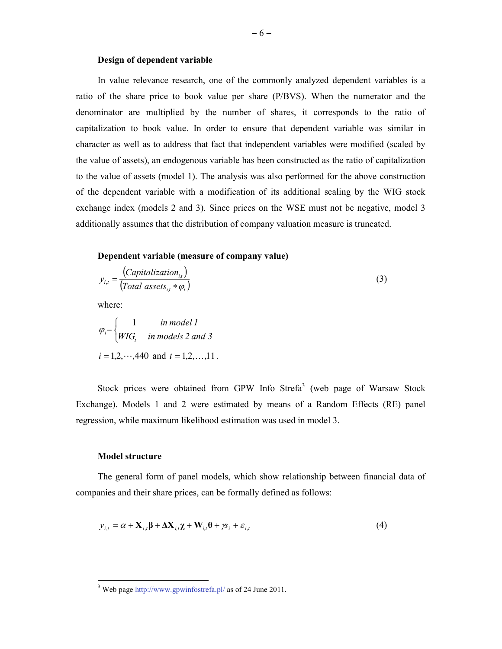## **Design of dependent variable**

In value relevance research, one of the commonly analyzed dependent variables is a ratio of the share price to book value per share (P/BVS). When the numerator and the denominator are multiplied by the number of shares, it corresponds to the ratio of capitalization to book value. In order to ensure that dependent variable was similar in character as well as to address that fact that independent variables were modified (scaled by the value of assets), an endogenous variable has been constructed as the ratio of capitalization to the value of assets (model 1). The analysis was also performed for the above construction of the dependent variable with a modification of its additional scaling by the WIG stock exchange index (models 2 and 3). Since prices on the WSE must not be negative, model 3 additionally assumes that the distribution of company valuation measure is truncated.

# **Dependent variable (measure of company value)**

$$
y_{i,t} = \frac{(Capitalization_{i,t})}{(Total assets_{i,t} * \varphi_t)}
$$
 (3)

where:

$$
\varphi_i = \begin{cases}\n1 & \text{in model } 1 \\
WIG_t & \text{in models } 2 \text{ and } 3\n\end{cases}
$$
\n $i = 1, 2, \dots, 440$  and  $t = 1, 2, \dots, 11$ .

Stock prices were obtained from GPW Info Strefa<sup>3</sup> (web page of Warsaw Stock Exchange). Models 1 and 2 were estimated by means of a Random Effects (RE) panel regression, while maximum likelihood estimation was used in model 3.

#### **Model structure**

The general form of panel models, which show relationship between financial data of companies and their share prices, can be formally defined as follows:

$$
y_{i,t} = \alpha + \mathbf{X}_{i,t} \mathbf{\beta} + \Delta \mathbf{X}_{i,t} \mathbf{\gamma} + \mathbf{W}_{i,t} \mathbf{\theta} + \gamma \mathbf{s}_i + \varepsilon_{i,t}
$$
(4)

<sup>&</sup>lt;sup>3</sup> Web page http://www.gpwinfostrefa.pl/ as of 24 June 2011.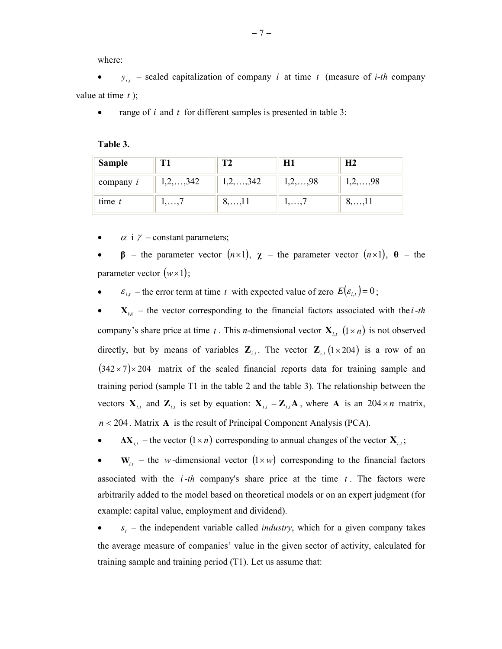where:

•  $y_{i,t}$  – scaled capitalization of company *i* at time *t* (measure of *i-th* company value at time *t* );

range of  $i$  and  $t$  for different samples is presented in table 3:

**Table 3.** 

| <b>Sample</b> |                     |                     | НI                 | Н2                 |
|---------------|---------------------|---------------------|--------------------|--------------------|
| company $i$   | $1, 2, \ldots, 342$ | $1, 2, \ldots, 342$ | $1, 2, \ldots, 98$ | $1, 2, \ldots, 98$ |
| $time$ $t$    | $1, \ldots, I$      | $0, \ldots, 11$     | .                  | $0, \ldots, 11$    |

 $\alpha$  i  $\gamma$  – constant parameters;

• **β** – the parameter vector (*n*×1), **χ** – the parameter vector (*n*×1), **θ** – the parameter vector  $(w \times 1)$ ;

•  $\varepsilon_{i,t}$  – the error term at time *t* with expected value of zero  $E(\varepsilon_{i,t}) = 0$ ;

•  $X_{i,t}$  – the vector corresponding to the financial factors associated with the *i*-th company's share price at time *t*. This *n*-dimensional vector  $\mathbf{X}_{i,t}$   $(1 \times n)$  is not observed directly, but by means of variables  $\mathbf{Z}_{i,t}$ . The vector  $\mathbf{Z}_{i,t}$  (1×204) is a row of an  $(342 \times 7) \times 204$  matrix of the scaled financial reports data for training sample and training period (sample T1 in the table 2 and the table 3). The relationship between the vectors  $\mathbf{X}_{i,t}$  and  $\mathbf{Z}_{i,t}$  is set by equation:  $\mathbf{X}_{i,t} = \mathbf{Z}_{i,t} \mathbf{A}$ , where  $\mathbf{A}$  is an 204 × *n* matrix, *n* < 204 . Matrix **A** is the result of Principal Component Analysis (PCA).

•  $\Delta X_{i,t}$  – the vector  $(1 \times n)$  corresponding to annual changes of the vector  $X_{i,t}$ ;

 $W_{i,t}$  – the *w*-dimensional vector  $(1 \times w)$  corresponding to the financial factors associated with the *i-th* company's share price at the time *t* . The factors were arbitrarily added to the model based on theoretical models or on an expert judgment (for example: capital value, employment and dividend).

•  $s_i$  – the independent variable called *industry*, which for a given company takes the average measure of companies' value in the given sector of activity, calculated for training sample and training period (T1). Let us assume that: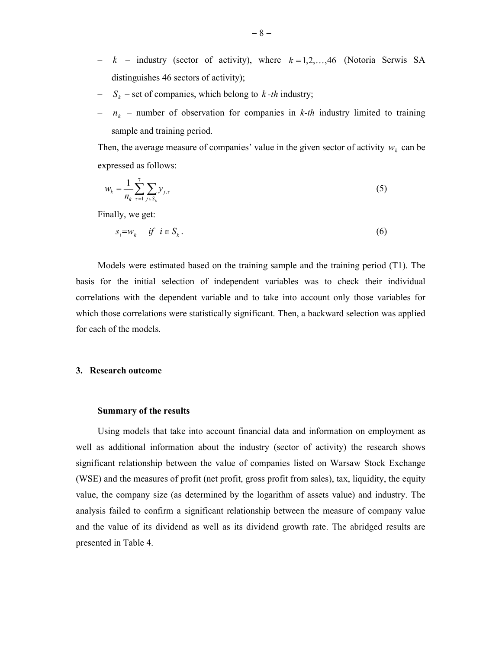- $k$  industry (sector of activity), where  $k = 1, 2, \dots, 46$  (Notoria Serwis SA distinguishes 46 sectors of activity);
- $S_k$  set of companies, which belong to *k -th* industry;
- $n_k$  number of observation for companies in *k-th* industry limited to training sample and training period.

Then, the average measure of companies' value in the given sector of activity  $w_k$  can be expressed as follows:

$$
w_k = \frac{1}{n_k} \sum_{\tau=1}^{7} \sum_{j \in S_k} y_{j,\tau}
$$
 (5)

Finally, we get:

$$
s_i = w_k \quad \text{if} \quad i \in S_k. \tag{6}
$$

Models were estimated based on the training sample and the training period (T1). The basis for the initial selection of independent variables was to check their individual correlations with the dependent variable and to take into account only those variables for which those correlations were statistically significant. Then, a backward selection was applied for each of the models.

## **3. Research outcome**

#### **Summary of the results**

Using models that take into account financial data and information on employment as well as additional information about the industry (sector of activity) the research shows significant relationship between the value of companies listed on Warsaw Stock Exchange (WSE) and the measures of profit (net profit, gross profit from sales), tax, liquidity, the equity value, the company size (as determined by the logarithm of assets value) and industry. The analysis failed to confirm a significant relationship between the measure of company value and the value of its dividend as well as its dividend growth rate. The abridged results are presented in Table 4.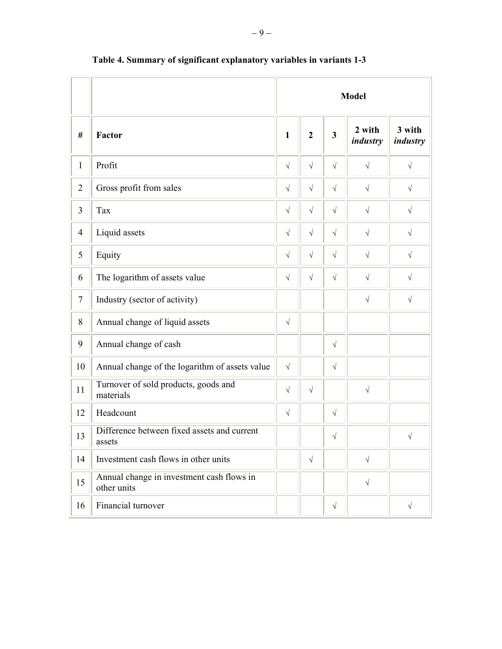|                |                                                          | <b>Model</b> |                |                         |                    |                    |
|----------------|----------------------------------------------------------|--------------|----------------|-------------------------|--------------------|--------------------|
| #              | Factor                                                   | $\mathbf{1}$ | $\overline{2}$ | $\overline{\mathbf{3}}$ | 2 with<br>industry | 3 with<br>industry |
| $\mathbf{1}$   | Profit                                                   | $\sqrt{ }$   | $\sqrt{}$      | $\sqrt{ }$              | $\sqrt{}$          | $\sqrt{ }$         |
| $\overline{2}$ | Gross profit from sales                                  | $\sqrt{}$    | $\sqrt{}$      | $\sqrt{}$               | $\sqrt{}$          | $\sqrt{}$          |
| $\overline{3}$ | Tax                                                      | $\sqrt{ }$   | $\sqrt{}$      | $\sqrt{}$               | $\sqrt{}$          | $\sqrt{}$          |
| $\overline{4}$ | Liquid assets                                            | $\sqrt{}$    | $\sqrt{}$      | $\sqrt{}$               | $\sqrt{}$          | $\sqrt{}$          |
| 5              | Equity                                                   | $\sqrt{ }$   | $\sqrt{}$      | $\sqrt{ }$              | $\sqrt{ }$         | $\sqrt{}$          |
| 6              | The logarithm of assets value                            | $\sqrt{}$    | $\sqrt{}$      | $\sqrt{}$               | $\sqrt{}$          | $\sqrt{}$          |
| $\tau$         | Industry (sector of activity)                            |              |                |                         | $\sqrt{}$          | $\sqrt{ }$         |
| 8              | Annual change of liquid assets                           | $\sqrt{ }$   |                |                         |                    |                    |
| 9              | Annual change of cash                                    |              |                | $\sqrt{}$               |                    |                    |
| 10             | Annual change of the logarithm of assets value           | $\sqrt{ }$   |                | $\sqrt{}$               |                    |                    |
| 11             | Turnover of sold products, goods and<br>materials        | $\sqrt{}$    | $\sqrt{}$      |                         | $\sqrt{}$          |                    |
| 12             | Headcount                                                | $\sqrt{ }$   |                | $\sqrt{}$               |                    |                    |
| 13             | Difference between fixed assets and current<br>assets    |              |                | $\sqrt{}$               |                    | $\sqrt{}$          |
| 14             | Investment cash flows in other units                     |              | $\sqrt{}$      |                         | $\sqrt{}$          |                    |
| 15             | Annual change in investment cash flows in<br>other units |              |                |                         | $\sqrt{}$          |                    |
| 16             | Financial turnover                                       |              |                | $\sqrt{}$               |                    | $\sqrt{}$          |

# **Table 4. Summary of significant explanatory variables in variants 1-3**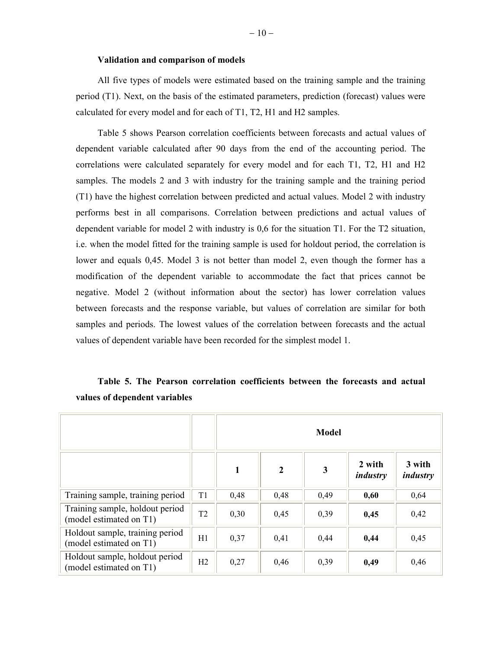#### **Validation and comparison of models**

All five types of models were estimated based on the training sample and the training period (T1). Next, on the basis of the estimated parameters, prediction (forecast) values were calculated for every model and for each of T1, T2, H1 and H2 samples.

Table 5 shows Pearson correlation coefficients between forecasts and actual values of dependent variable calculated after 90 days from the end of the accounting period. The correlations were calculated separately for every model and for each T1, T2, H1 and H2 samples. The models 2 and 3 with industry for the training sample and the training period (T1) have the highest correlation between predicted and actual values. Model 2 with industry performs best in all comparisons. Correlation between predictions and actual values of dependent variable for model 2 with industry is 0,6 for the situation T1. For the T2 situation, i.e. when the model fitted for the training sample is used for holdout period, the correlation is lower and equals 0,45. Model 3 is not better than model 2, even though the former has a modification of the dependent variable to accommodate the fact that prices cannot be negative. Model 2 (without information about the sector) has lower correlation values between forecasts and the response variable, but values of correlation are similar for both samples and periods. The lowest values of the correlation between forecasts and the actual values of dependent variable have been recorded for the simplest model 1.

|                                                            |                | <b>Model</b> |                |      |                    |                    |
|------------------------------------------------------------|----------------|--------------|----------------|------|--------------------|--------------------|
|                                                            |                | $\mathbf{1}$ | $\overline{2}$ | 3    | 2 with<br>industry | 3 with<br>industry |
| Training sample, training period                           | T1             | 0,48         | 0,48           | 0,49 | 0,60               | 0,64               |
| Training sample, holdout period<br>(model estimated on T1) | T <sub>2</sub> | 0,30         | 0,45           | 0,39 | 0,45               | 0,42               |
| Holdout sample, training period<br>(model estimated on T1) | H1             | 0,37         | 0,41           | 0,44 | 0,44               | 0,45               |
| Holdout sample, holdout period<br>(model estimated on T1)  | H2             | 0,27         | 0,46           | 0,39 | 0,49               | 0,46               |

**Table 5. The Pearson correlation coefficients between the forecasts and actual values of dependent variables**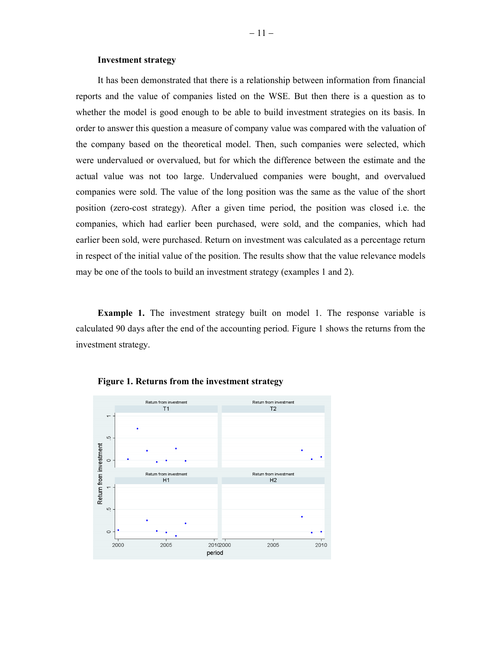### **Investment strategy**

It has been demonstrated that there is a relationship between information from financial reports and the value of companies listed on the WSE. But then there is a question as to whether the model is good enough to be able to build investment strategies on its basis. In order to answer this question a measure of company value was compared with the valuation of the company based on the theoretical model. Then, such companies were selected, which were undervalued or overvalued, but for which the difference between the estimate and the actual value was not too large. Undervalued companies were bought, and overvalued companies were sold. The value of the long position was the same as the value of the short position (zero-cost strategy). After a given time period, the position was closed i.e. the companies, which had earlier been purchased, were sold, and the companies, which had earlier been sold, were purchased. Return on investment was calculated as a percentage return in respect of the initial value of the position. The results show that the value relevance models may be one of the tools to build an investment strategy (examples 1 and 2).

**Example 1.** The investment strategy built on model 1. The response variable is calculated 90 days after the end of the accounting period. Figure 1 shows the returns from the investment strategy.



**Figure 1. Returns from the investment strategy**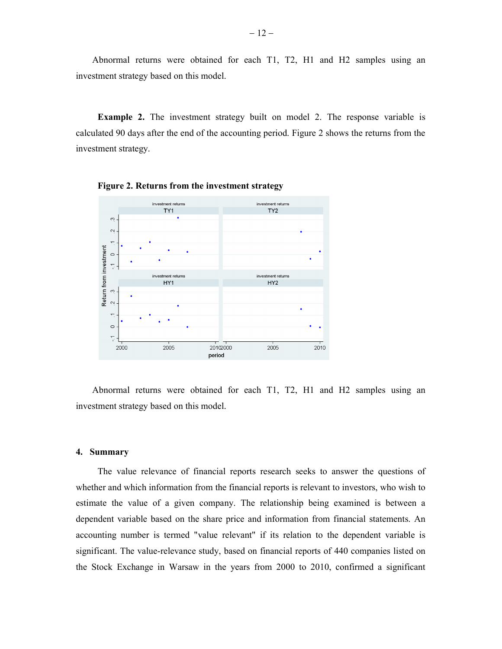Abnormal returns were obtained for each T1, T2, H1 and H2 samples using an investment strategy based on this model.

**Example 2.** The investment strategy built on model 2. The response variable is calculated 90 days after the end of the accounting period. Figure 2 shows the returns from the investment strategy.





Abnormal returns were obtained for each T1, T2, H1 and H2 samples using an investment strategy based on this model.

## **4. Summary**

The value relevance of financial reports research seeks to answer the questions of whether and which information from the financial reports is relevant to investors, who wish to estimate the value of a given company. The relationship being examined is between a dependent variable based on the share price and information from financial statements. An accounting number is termed "value relevant" if its relation to the dependent variable is significant. The value-relevance study, based on financial reports of 440 companies listed on the Stock Exchange in Warsaw in the years from 2000 to 2010, confirmed a significant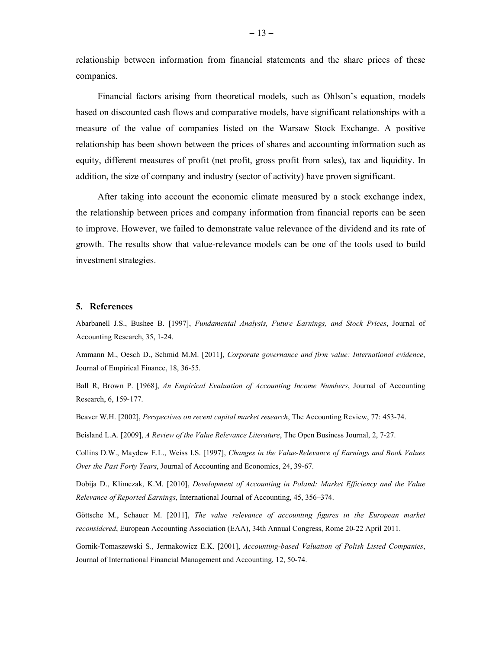relationship between information from financial statements and the share prices of these companies.

Financial factors arising from theoretical models, such as Ohlson's equation, models based on discounted cash flows and comparative models, have significant relationships with a measure of the value of companies listed on the Warsaw Stock Exchange. A positive relationship has been shown between the prices of shares and accounting information such as equity, different measures of profit (net profit, gross profit from sales), tax and liquidity. In addition, the size of company and industry (sector of activity) have proven significant.

After taking into account the economic climate measured by a stock exchange index, the relationship between prices and company information from financial reports can be seen to improve. However, we failed to demonstrate value relevance of the dividend and its rate of growth. The results show that value-relevance models can be one of the tools used to build investment strategies.

#### **5. References**

Abarbanell J.S., Bushee B. [1997], *Fundamental Analysis, Future Earnings, and Stock Prices*, Journal of Accounting Research, 35, 1-24.

Ammann M., Oesch D., Schmid M.M. [2011], *Corporate governance and firm value: International evidence*, Journal of Empirical Finance, 18, 36-55.

Ball R, Brown P. [1968], *An Empirical Evaluation of Accounting Income Numbers*, Journal of Accounting Research, 6, 159-177.

Beaver W.H. [2002], *Perspectives on recent capital market research*, The Accounting Review, 77: 453-74.

Beisland L.A. [2009], *A Review of the Value Relevance Literature*, The Open Business Journal, 2, 7-27.

Collins D.W., Maydew E.L., Weiss I.S. [1997], *Changes in the Value-Relevance of Earnings and Book Values Over the Past Forty Years*, Journal of Accounting and Economics, 24, 39-67.

Dobija D., Klimczak, K.M. [2010], *Development of Accounting in Poland: Market Efficiency and the Value Relevance of Reported Earnings*, International Journal of Accounting, 45, 356–374.

Göttsche M., Schauer M. [2011], *The value relevance of accounting figures in the European market reconsidered*, European Accounting Association (EAA), 34th Annual Congress, Rome 20-22 April 2011.

Gornik-Tomaszewski S., Jermakowicz E.K. [2001], *Accounting-based Valuation of Polish Listed Companies*, Journal of International Financial Management and Accounting, 12, 50-74.